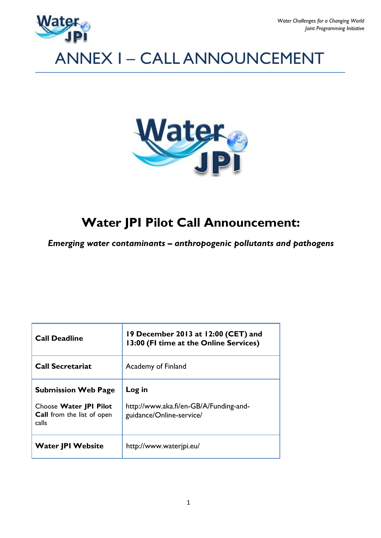

# ANNEX I – CALL ANNOUNCEMENT



# **Water JPI Pilot Call Announcement:**

*Emerging water contaminants – anthropogenic pollutants and pathogens*

| <b>Call Deadline</b>                                                                               | 19 December 2013 at 12:00 (CET) and<br>13:00 (FI time at the Online Services) |
|----------------------------------------------------------------------------------------------------|-------------------------------------------------------------------------------|
| <b>Call Secretariat</b>                                                                            | Academy of Finland                                                            |
| <b>Submission Web Page</b><br>Choose Water JPI Pilot<br><b>Call</b> from the list of open<br>calls | Log in<br>http://www.aka.fi/en-GB/A/Funding-and-<br>guidance/Online-service/  |
| <b>Water JPI Website</b>                                                                           | http://www.waterjpi.eu/                                                       |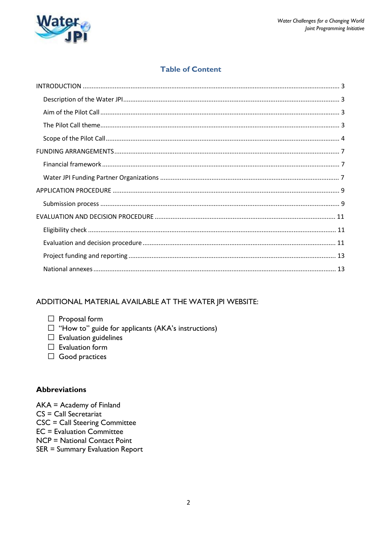

# **Table of Content**

# ADDITIONAL MATERIAL AVAILABLE AT THE WATER JPI WEBSITE:

- $\Box$  Proposal form
- $\Box$  "How to" guide for applicants (AKA's instructions)
- $\Box$  Evaluation guidelines
- $\Box$  Evaluation form
- $\Box$  Good practices

### **Abbreviations**

 $AKA = Academy of Finland$  $CS = Call$  Secretariat **CSC = Call Steering Committee**  $EC =$  Evaluation Committee NCP = National Contact Point SER = Summary Evaluation Report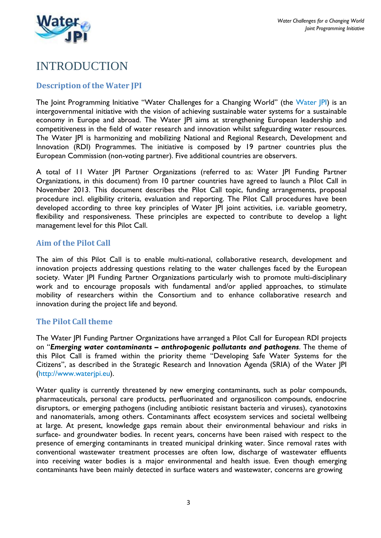

# INTRODUCTION

# **Description of the Water JPI**

The Joint Programming Initiative "Water Challenges for a Changing World" (the [Water JPI\)](http://www.waterjpi.eu/) is an intergovernmental initiative with the vision of achieving sustainable water systems for a sustainable economy in Europe and abroad. The Water JPI aims at strengthening European leadership and competitiveness in the field of water research and innovation whilst safeguarding water resources. The Water JPI is harmonizing and mobilizing National and Regional Research, Development and Innovation (RDI) Programmes. The initiative is composed by 19 partner countries plus the European Commission (non-voting partner). Five additional countries are observers.

A total of 11 Water JPI Partner Organizations (referred to as: Water JPI Funding Partner Organizations, in this document) from 10 partner countries have agreed to launch a Pilot Call in November 2013. This document describes the Pilot Call topic, funding arrangements, proposal procedure incl. eligibility criteria, evaluation and reporting. The Pilot Call procedures have been developed according to three key principles of Water JPI joint activities, i.e. variable geometry, flexibility and responsiveness. These principles are expected to contribute to develop a light management level for this Pilot Call.

### **Aim of the Pilot Call**

The aim of this Pilot Call is to enable multi-national, collaborative research, development and innovation projects addressing questions relating to the water challenges faced by the European society. Water JPI Funding Partner Organizations particularly wish to promote multi-disciplinary work and to encourage proposals with fundamental and/or applied approaches, to stimulate mobility of researchers within the Consortium and to enhance collaborative research and innovation during the project life and beyond.

# **The Pilot Call theme**

The Water JPI Funding Partner Organizations have arranged a Pilot Call for European RDI projects on "*Emerging water contaminants – anthropogenic pollutants and pathogens*. The theme of this Pilot Call is framed within the priority theme "Developing Safe Water Systems for the Citizens", as described in the Strategic Research and Innovation Agenda (SRIA) of the Water JPI [\(http://www.waterjpi.eu\)](http://www.waterjpi.eu/).

Water quality is currently threatened by new emerging contaminants, such as polar compounds, pharmaceuticals, personal care products, perfluorinated and organosilicon compounds, endocrine disruptors, or emerging pathogens (including antibiotic resistant bacteria and viruses), cyanotoxins and nanomaterials, among others. Contaminants affect ecosystem services and societal wellbeing at large. At present, knowledge gaps remain about their environmental behaviour and risks in surface- and groundwater bodies. In recent years, concerns have been raised with respect to the presence of emerging contaminants in treated municipal drinking water. Since removal rates with conventional wastewater treatment processes are often low, discharge of wastewater effluents into receiving water bodies is a major environmental and health issue. Even though emerging contaminants have been mainly detected in surface waters and wastewater, concerns are growing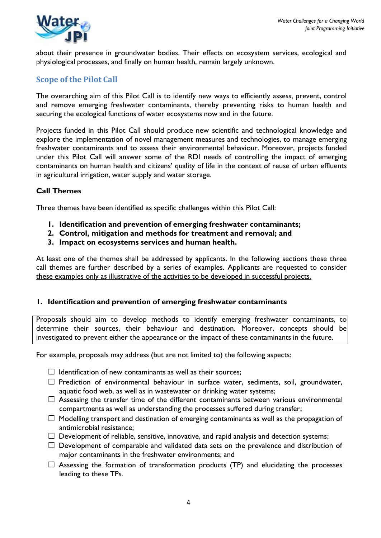

about their presence in groundwater bodies. Their effects on ecosystem services, ecological and physiological processes, and finally on human health, remain largely unknown.

# **Scope of the Pilot Call**

The overarching aim of this Pilot Call is to identify new ways to efficiently assess, prevent, control and remove emerging freshwater contaminants, thereby preventing risks to human health and securing the ecological functions of water ecosystems now and in the future.

Projects funded in this Pilot Call should produce new scientific and technological knowledge and explore the implementation of novel management measures and technologies, to manage emerging freshwater contaminants and to assess their environmental behaviour. Moreover, projects funded under this Pilot Call will answer some of the RDI needs of controlling the impact of emerging contaminants on human health and citizens' quality of life in the context of reuse of urban effluents in agricultural irrigation, water supply and water storage.

### **Call Themes**

Three themes have been identified as specific challenges within this Pilot Call:

- **1. Identification and prevention of emerging freshwater contaminants;**
- **2. Control, mitigation and methods for treatment and removal; and**
- **3. Impact on ecosystems services and human health.**

At least one of the themes shall be addressed by applicants. In the following sections these three call themes are further described by a series of examples. Applicants are requested to consider these examples only as illustrative of the activities to be developed in successful projects.

### **1. Identification and prevention of emerging freshwater contaminants**

Proposals should aim to develop methods to identify emerging freshwater contaminants, to determine their sources, their behaviour and destination. Moreover, concepts should be investigated to prevent either the appearance or the impact of these contaminants in the future.

For example, proposals may address (but are not limited to) the following aspects:

- $\Box$  Identification of new contaminants as well as their sources;
- $\Box$  Prediction of environmental behaviour in surface water, sediments, soil, groundwater, aquatic food web, as well as in wastewater or drinking water systems;
- $\Box$  Assessing the transfer time of the different contaminants between various environmental compartments as well as understanding the processes suffered during transfer;
- $\Box$  Modelling transport and destination of emerging contaminants as well as the propagation of antimicrobial resistance;
- $\Box$  Development of reliable, sensitive, innovative, and rapid analysis and detection systems;
- $\Box$  Development of comparable and validated data sets on the prevalence and distribution of major contaminants in the freshwater environments; and
- $\Box$  Assessing the formation of transformation products (TP) and elucidating the processes leading to these TPs.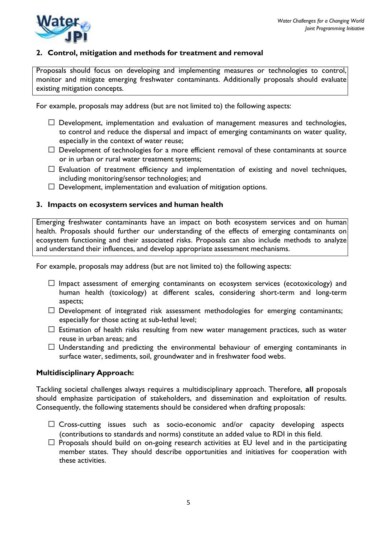



### **2. Control, mitigation and methods for treatment and removal**

Proposals should focus on developing and implementing measures or technologies to control, monitor and mitigate emerging freshwater contaminants. Additionally proposals should evaluate existing mitigation concepts.

For example, proposals may address (but are not limited to) the following aspects:

- $\Box$  Development, implementation and evaluation of management measures and technologies, to control and reduce the dispersal and impact of emerging contaminants on water quality, especially in the context of water reuse;
- $\Box$  Development of technologies for a more efficient removal of these contaminants at source or in urban or rural water treatment systems;
- $\Box$  Evaluation of treatment efficiency and implementation of existing and novel techniques, including monitoring/sensor technologies; and
- $\Box$  Development, implementation and evaluation of mitigation options.

#### **3. Impacts on ecosystem services and human health**

Emerging freshwater contaminants have an impact on both ecosystem services and on human health. Proposals should further our understanding of the effects of emerging contaminants on ecosystem functioning and their associated risks. Proposals can also include methods to analyze and understand their influences, and develop appropriate assessment mechanisms.

For example, proposals may address (but are not limited to) the following aspects:

- $\Box$  Impact assessment of emerging contaminants on ecosystem services (ecotoxicology) and human health (toxicology) at different scales, considering short-term and long-term aspects;
- $\Box$  Development of integrated risk assessment methodologies for emerging contaminants; especially for those acting at sub-lethal level;
- $\Box$  Estimation of health risks resulting from new water management practices, such as water reuse in urban areas; and
- $\Box$  Understanding and predicting the environmental behaviour of emerging contaminants in surface water, sediments, soil, groundwater and in freshwater food webs.

#### **Multidisciplinary Approach:**

Tackling societal challenges always requires a multidisciplinary approach. Therefore, **all** proposals should emphasize participation of stakeholders, and dissemination and exploitation of results. Consequently, the following statements should be considered when drafting proposals:

- $\Box$  Cross-cutting issues such as socio-economic and/or capacity developing aspects (contributions to standards and norms) constitute an added value to RDI in this field.
- $\Box$  Proposals should build on on-going research activities at EU level and in the participating member states. They should describe opportunities and initiatives for cooperation with these activities.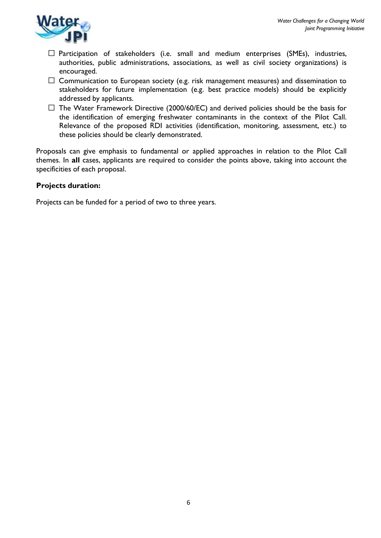

- $\Box$  Participation of stakeholders (i.e. small and medium enterprises (SMEs), industries, authorities, public administrations, associations, as well as civil society organizations) is encouraged.
- $\Box$  Communication to European society (e.g. risk management measures) and dissemination to stakeholders for future implementation (e.g. best practice models) should be explicitly addressed by applicants.
- $\Box$  The Water Framework Directive (2000/60/EC) and derived policies should be the basis for the identification of emerging freshwater contaminants in the context of the Pilot Call. Relevance of the proposed RDI activities (identification, monitoring, assessment, etc.) to these policies should be clearly demonstrated.

Proposals can give emphasis to fundamental or applied approaches in relation to the Pilot Call themes. In **all** cases, applicants are required to consider the points above, taking into account the specificities of each proposal.

### **Projects duration:**

Projects can be funded for a period of two to three years.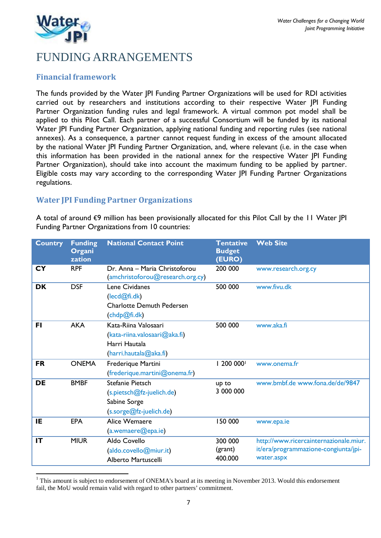

# FUNDING ARRANGEMENTS

# **Financial framework**

The funds provided by the Water JPI Funding Partner Organizations will be used for RDI activities carried out by researchers and institutions according to their respective Water JPI Funding Partner Organization funding rules and legal framework. A virtual common pot model shall be applied to this Pilot Call. Each partner of a successful Consortium will be funded by its national Water JPI Funding Partner Organization, applying national funding and reporting rules (see national annexes). As a consequence, a partner cannot request funding in excess of the amount allocated by the national Water JPI Funding Partner Organization, and, where relevant (i.e. in the case when this information has been provided in the national annex for the respective Water JPI Funding Partner Organization), should take into account the maximum funding to be applied by partner. Eligible costs may vary according to the corresponding Water JPI Funding Partner Organizations regulations.

# **Water JPI Funding Partner Organizations**

A total of around €9 million has been provisionally allocated for this Pilot Call by the 11 Water JPI Funding Partner Organizations from 10 countries:

| <b>Country</b> | <b>Funding</b><br>Organi<br>zation | <b>National Contact Point</b>                                                                        | <b>Tentative</b><br><b>Budget</b><br>(EURO) | <b>Web Site</b>                                                                              |
|----------------|------------------------------------|------------------------------------------------------------------------------------------------------|---------------------------------------------|----------------------------------------------------------------------------------------------|
| <b>CY</b>      | <b>RPF</b>                         | Dr. Anna - Maria Christoforou<br>(amchristoforou@research.org.cy)                                    | 200 000                                     | www.research.org.cy                                                                          |
| <b>DK</b>      | <b>DSF</b>                         | Lene Cividanes<br>(lecd@fi.dk)<br><b>Charlotte Demuth Pedersen</b><br>(chdp@fi.dk)                   | 500 000                                     | www.fivu.dk                                                                                  |
| <b>FI</b>      | <b>AKA</b>                         | Kata-Riina Valosaari<br>$(kata-riina.valuesaaria@aka.fi)$<br>Harri Hautala<br>(harri.hautala@aka.fi) | 500 000                                     | www.aka.fi                                                                                   |
| <b>FR</b>      | <b>ONEMA</b>                       | Frederique Martini<br>(frederique.martini@onema.fr)                                                  | 1 200 000                                   | www.onema.fr                                                                                 |
| <b>DE</b>      | <b>BMBF</b>                        | Stefanie Pietsch<br>(s.pietsch@fz-juelich.de)<br>Sabine Sorge<br>(s.sorge@fz-juelich.de)             | up to<br>3 000 000                          | www.bmbf.de www.fona.de/de/9847                                                              |
| IE             | <b>EPA</b>                         | Alice Wemaere<br>(a.wemaere@epa.ie)                                                                  | 150 000                                     | www.epa.ie                                                                                   |
| IT             | <b>MIUR</b>                        | Aldo Covello<br>(aldo.covello@miur.it)<br>Alberto Martuscelli                                        | 300 000<br>(grant)<br>400.000               | http://www.ricercainternazionale.miur.<br>it/era/programmazione-congiunta/jpi-<br>water.aspx |

<sup>&</sup>lt;sup>1</sup> This amount is subject to endorsement of ONEMA's board at its meeting in November 2013. Would this endorsement fail, the MoU would remain valid with regard to other partners' commitment.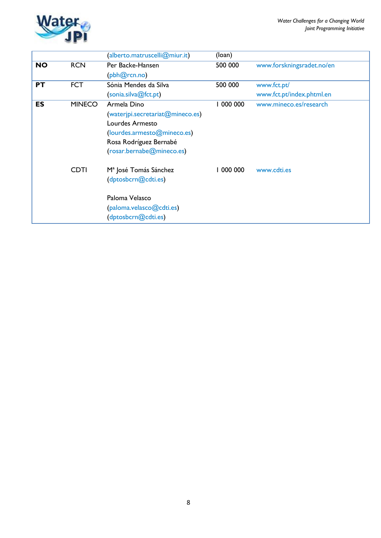

|           |               | (alberto.matruscelli@miur.it)     | (loan)  |                           |
|-----------|---------------|-----------------------------------|---------|---------------------------|
| <b>NO</b> | <b>RCN</b>    | Per Backe-Hansen                  | 500 000 | www.forskningsradet.no/en |
|           |               | (pbh@rcn.no)                      |         |                           |
| <b>PT</b> | <b>FCT</b>    | Sónia Mendes da Silva             | 500 000 | www.fct.pt/               |
|           |               | (sonia.silva@fct.pt)              |         | www.fct.pt/index.phtml.en |
| <b>ES</b> | <b>MINECO</b> | Armela Dino                       | 000 000 | www.mineco.es/research    |
|           |               | (wateripi.secretariat@mineco.es)  |         |                           |
|           |               | Lourdes Armesto                   |         |                           |
|           |               | (lourdes.armesto@mineco.es)       |         |                           |
|           |               | Rosa Rodríguez Bernabé            |         |                           |
|           |               | (rosar.bernabe@mineco.es)         |         |                           |
|           | <b>CDTI</b>   | M <sup>a</sup> José Tomás Sánchez | 000 000 | www.cdti.es               |
|           |               | (dptosbcrn@cdti.es)               |         |                           |
|           |               | Paloma Velasco                    |         |                           |
|           |               | (paloma.velasco@cdti.es)          |         |                           |
|           |               | (dptosbcrn@cdti.es)               |         |                           |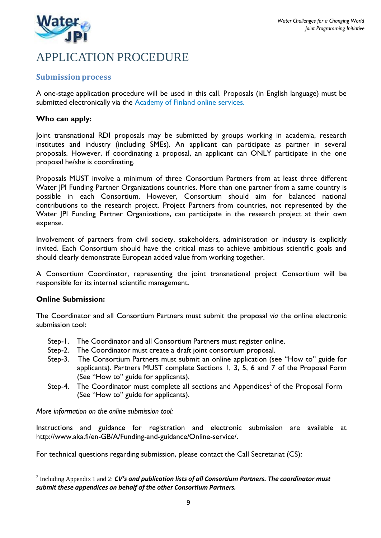

# APPLICATION PROCEDURE

# **Submission process**

A one-stage application procedure will be used in this call. Proposals (in English language) must be submitted electronically via the [Academy](http://www.aka.fi/en-GB/A/Funding-and-guidance/Online-service/) of Finland online services.

### **Who can apply:**

Joint transnational RDI proposals may be submitted by groups working in academia, research institutes and industry (including SMEs). An applicant can participate as partner in several proposals. However, if coordinating a proposal, an applicant can ONLY participate in the one proposal he/she is coordinating.

Proposals MUST involve a minimum of three Consortium Partners from at least three different Water JPI Funding Partner Organizations countries. More than one partner from a same country is possible in each Consortium. However, Consortium should aim for balanced national contributions to the research project. Project Partners from countries, not represented by the Water JPI Funding Partner Organizations, can participate in the research project at their own expense.

Involvement of partners from civil society, stakeholders, administration or industry is explicitly invited. Each Consortium should have the critical mass to achieve ambitious scientific goals and should clearly demonstrate European added value from working together.

A Consortium Coordinator, representing the joint transnational project Consortium will be responsible for its internal scientific management.

#### **Online Submission:**

The Coordinator and all Consortium Partners must submit the proposal *via* the online electronic submission tool:

- Step-1. The Coordinator and all Consortium Partners must register online.
- Step-2. The Coordinator must create a draft joint consortium proposal.
- Step-3. The Consortium Partners must submit an online application (see "How to" guide for applicants). Partners MUST complete Sections 1, 3, 5, 6 and 7 of the Proposal Form (See "How to" guide for applicants).
- Step-4. The Coordinator must complete all sections and Appendices<sup>2</sup> of the Proposal Form (See "How to" guide for applicants).

*More information on the online submission tool:*

Instructions and guidance for registration and electronic submission are available at [http://www.aka.fi/en-GB/A/Funding-and-guidance/Online-service/.](http://www.aka.fi/en-GB/A/Funding-and-guidance/Online-service/)

For technical questions regarding submission, please contact the Call Secretariat (CS):

<sup>2</sup> Including Appendix 1 and 2: *CV's and publication lists of all Consortium Partners. The coordinator must submit these appendices on behalf of the other Consortium Partners.*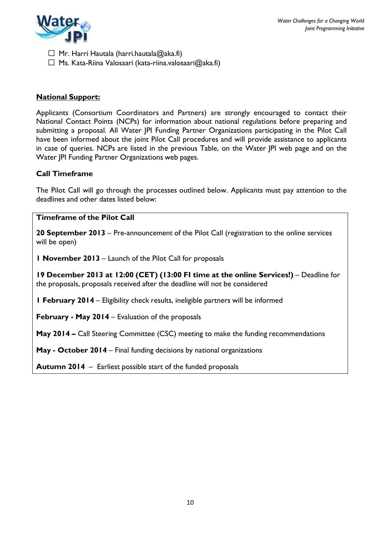

 $\Box$  Mr. Harri Hautala [\(harri.hautala@aka.fi\)](mailto:harri.hautala@aka.fi)

 $\Box$  Ms. Kata-Riina Valosaari (kata-riina.valosaari $\omega$ aka.fi)

### **National Support:**

Applicants (Consortium Coordinators and Partners) are strongly encouraged to contact their National Contact Points (NCPs) for information about national regulations before preparing and submitting a proposal. All Water JPI Funding Partner Organizations participating in the Pilot Call have been informed about the joint Pilot Call procedures and will provide assistance to applicants in case of queries. NCPs are listed in the previous Table, on the Water JPI web page and on the Water JPI Funding Partner Organizations web pages.

### **Call Timeframe**

The Pilot Call will go through the processes outlined below. Applicants must pay attention to the deadlines and other dates listed below:

#### **Timeframe of the Pilot Call**

**20 September 2013** – Pre-announcement of the Pilot Call (registration to the online services will be open)

**1 November 2013** – Launch of the Pilot Call for proposals

**19 December 2013 at 12:00 (CET) (13:00 FI time at the online Services!)** – Deadline for the proposals, proposals received after the deadline will not be considered

**1 February 2014** – Eligibility check results, ineligible partners will be informed

**February - May 2014** – Evaluation of the proposals

**May 2014 –** Call Steering Committee (CSC) meeting to make the funding recommendations

**May - October 2014** – Final funding decisions by national organizations

**Autumn 2014** – Earliest possible start of the funded proposals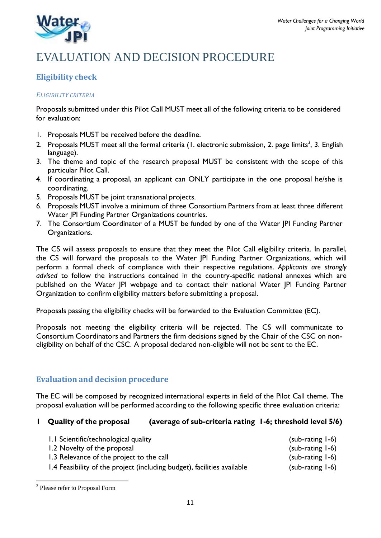

# EVALUATION AND DECISION PROCEDURE

# **Eligibility check**

### *ELIGIBILITY CRITERIA*

Proposals submitted under this Pilot Call MUST meet all of the following criteria to be considered for evaluation:

- 1. Proposals MUST be received before the deadline.
- 2. Proposals MUST meet all the formal criteria (1. electronic submission, 2. page limits $^3$ , 3. English language).
- 3. The theme and topic of the research proposal MUST be consistent with the scope of this particular Pilot Call.
- 4. If coordinating a proposal, an applicant can ONLY participate in the one proposal he/she is coordinating.
- 5. Proposals MUST be joint transnational projects.
- 6. Proposals MUST involve a minimum of three Consortium Partners from at least three different Water JPI Funding Partner Organizations countries.
- 7. The Consortium Coordinator of a MUST be funded by one of the Water JPI Funding Partner Organizations.

The CS will assess proposals to ensure that they meet the Pilot Call eligibility criteria. In parallel, the CS will forward the proposals to the Water JPI Funding Partner Organizations, which will perform a formal check of compliance with their respective regulations. *Applicants are strongly advised* to follow the instructions contained in the country-specific national annexes which are published on the Water JPI webpage and to contact their national Water JPI Funding Partner Organization to confirm eligibility matters before submitting a proposal.

Proposals passing the eligibility checks will be forwarded to the Evaluation Committee (EC).

Proposals not meeting the eligibility criteria will be rejected. The CS will communicate to Consortium Coordinators and Partners the firm decisions signed by the Chair of the CSC on noneligibility on behalf of the CSC. A proposal declared non-eligible will not be sent to the EC.

# **Evaluation and decision procedure**

The EC will be composed by recognized international experts in field of the Pilot Call theme. The proposal evaluation will be performed according to the following specific three evaluation criteria:

# **1 Quality of the proposal (average of sub-criteria rating 1-6; threshold level 5/6)**

| 1.1 Scientific/technological quality                                    | $(sub-rating 1-6)$ |
|-------------------------------------------------------------------------|--------------------|
| 1.2 Novelty of the proposal                                             | (sub-rating 1-6)   |
| 1.3 Relevance of the project to the call                                | $(sub-rating 1-6)$ |
| 1.4 Feasibility of the project (including budget), facilities available | $(sub-rating 1-6)$ |

<sup>&</sup>lt;sup>3</sup> Please refer to Proposal Form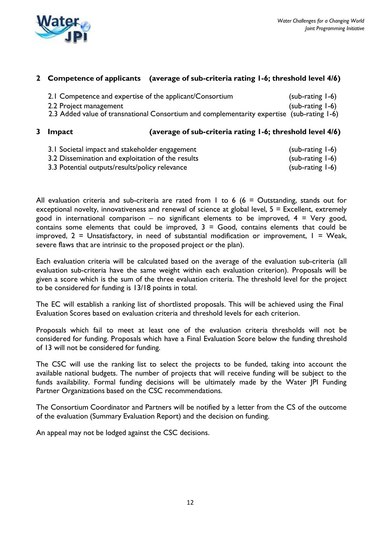

### **2 Competence of applicants (average of sub-criteria rating 1-6; threshold level 4/6)**

| 2.1 Competence and expertise of the applicant/Consortium                                   | $(sub-rating 1-6)$  |  |
|--------------------------------------------------------------------------------------------|---------------------|--|
| 2.2 Project management                                                                     | (sub-rating $I-6$ ) |  |
| 2.3 Added value of transnational Consortium and complementarity expertise (sub-rating 1-6) |                     |  |

#### **3 Impact (average of sub-criteria rating 1-6; threshold level 4/6)**

- 3.1 Societal impact and stakeholder engagement (sub-rating 1-6) 3.2 Dissemination and exploitation of the results (sub-rating 1-6)
- 3.3 Potential outputs/results/policy relevance (sub-rating 1-6)

All evaluation criteria and sub-criteria are rated from 1 to 6 (6 = Outstanding, stands out for exceptional novelty, innovativeness and renewal of science at global level,  $5 =$  Excellent, extremely good in international comparison – no significant elements to be improved,  $4 = V$ ery good, contains some elements that could be improved,  $3 = Good$ , contains elements that could be improved,  $2 =$  Unsatisfactory, in need of substantial modification or improvement,  $1 =$  Weak, severe flaws that are intrinsic to the proposed project or the plan).

Each evaluation criteria will be calculated based on the average of the evaluation sub-criteria (all evaluation sub-criteria have the same weight within each evaluation criterion). Proposals will be given a score which is the sum of the three evaluation criteria. The threshold level for the project to be considered for funding is 13/18 points in total.

The EC will establish a ranking list of shortlisted proposals. This will be achieved using the Final Evaluation Scores based on evaluation criteria and threshold levels for each criterion.

Proposals which fail to meet at least one of the evaluation criteria thresholds will not be considered for funding. Proposals which have a Final Evaluation Score below the funding threshold of 13 will not be considered for funding.

The CSC will use the ranking list to select the projects to be funded, taking into account the available national budgets. The number of projects that will receive funding will be subject to the funds availability. Formal funding decisions will be ultimately made by the Water JPI Funding Partner Organizations based on the CSC recommendations.

The Consortium Coordinator and Partners will be notified by a letter from the CS of the outcome of the evaluation (Summary Evaluation Report) and the decision on funding.

An appeal may not be lodged against the CSC decisions.